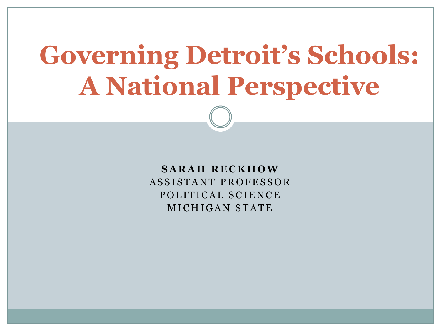# **Governing Detroit's Schools: A National Perspective**

**S A R A H R E C K H O W** ASSISTANT PROFESSOR POLITICAL SCIENCE M I C H I G A N STATE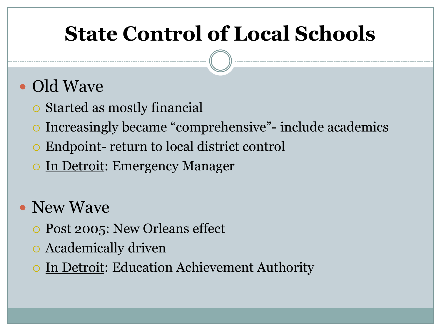### **State Control of Local Schools**

#### • Old Wave

- Started as mostly financial
- Increasingly became "comprehensive"- include academics
- Endpoint- return to local district control
- o In Detroit: Emergency Manager
- New Wave
	- Post 2005: New Orleans effect
	- Academically driven
	- In Detroit: Education Achievement Authority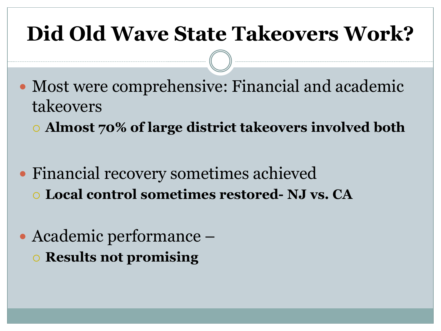### **Did Old Wave State Takeovers Work?**

- Most were comprehensive: Financial and academic takeovers
	- **Almost 70% of large district takeovers involved both**
- Financial recovery sometimes achieved **Local control sometimes restored- NJ vs. CA**
- Academic performance **Results not promising**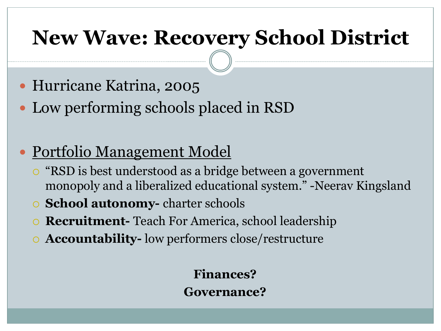### **New Wave: Recovery School District**

- Hurricane Katrina, 2005
- Low performing schools placed in RSD
- Portfolio Management Model
	- "RSD is best understood as a bridge between a government monopoly and a liberalized educational system." -Neerav Kingsland
	- **School autonomy-** charter schools
	- **Recruitment-** Teach For America, school leadership
	- **Accountability-** low performers close/restructure

**Finances? Governance?**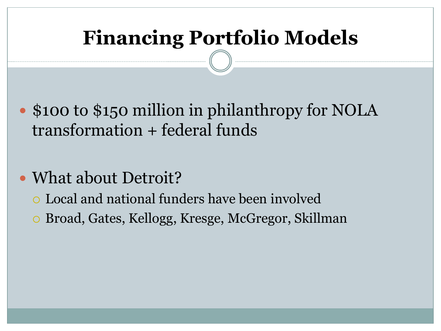### **Financing Portfolio Models**

- \$100 to \$150 million in philanthropy for NOLA transformation + federal funds
- What about Detroit?
	- Local and national funders have been involved
	- Broad, Gates, Kellogg, Kresge, McGregor, Skillman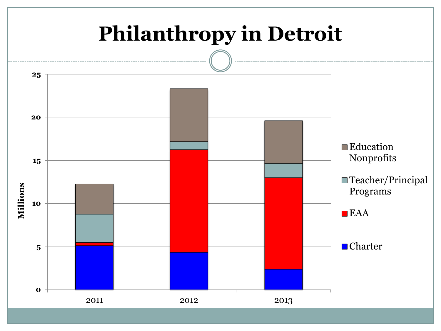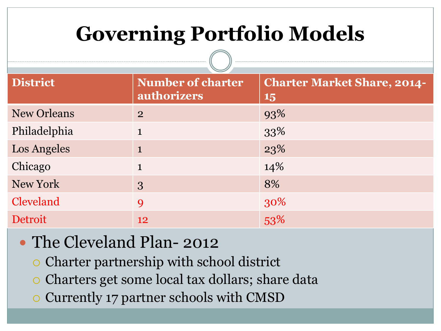## **Governing Portfolio Models**

| <b>District</b>    | <b>Number of charter</b><br>authorizers | <b>Charter Market Share, 2014-</b><br><b>15</b> |
|--------------------|-----------------------------------------|-------------------------------------------------|
| <b>New Orleans</b> | $\overline{2}$                          | 93%                                             |
| Philadelphia       | $\mathbf{1}$                            | 33%                                             |
| Los Angeles        | $\mathbf{1}$                            | 23%                                             |
| Chicago            | $\mathbf{1}$                            | 14%                                             |
| New York           | 3                                       | 8%                                              |
| Cleveland          | 9                                       | 30%                                             |
| Detroit            | 12                                      | 53%                                             |

#### • The Cleveland Plan-2012

Charter partnership with school district

 $\begin{array}{c} \begin{array}{c} \begin{array}{c} \begin{array}{c} \end{array}\\ \end{array} \end{array} \end{array}$ 

- Charters get some local tax dollars; share data
- Currently 17 partner schools with CMSD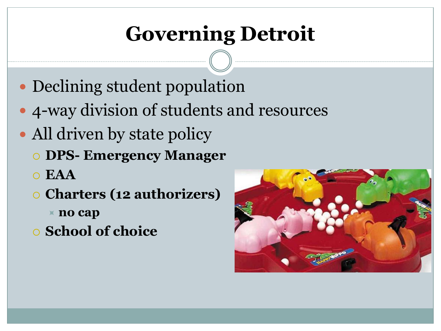# **Governing Detroit**

- Declining student population
- 4-way division of students and resources
- All driven by state policy
	- **DPS- Emergency Manager**
	- **EAA**
	- **Charters (12 authorizers)**
		- **no cap**
	- **School of choice**